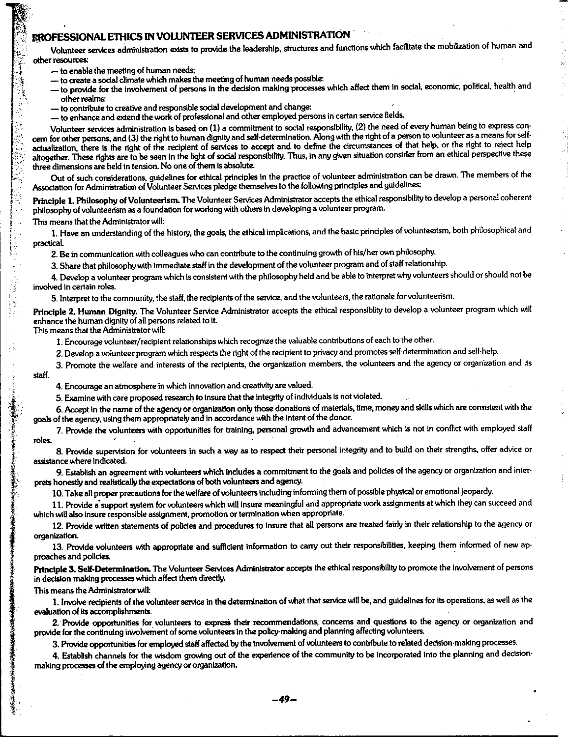## ;, **ffl«)FESSIONAL Ennes** IN **VOUJNIEER SERVICES ADMINISTRATION**

Volunteer services administration exists to provide the leadership, structures and functions which facilitate the mobilization of human and *,;(* other resources:

- 
- 
- to enable the meeting of human needs;<br>— to create a social climate which makes the meeting of human needs possible:<br>— to provide for the involvement of persons in the decision making processes which affect them in social other realms: *other realms:*  $\mathbf{r} = \mathbf{r} \times \mathbf{r}$  is a set of the set of the set of the set of the set of the set of the set of the set of the set of the set of the set of the set of the set of the set of the set of
- $-$  to contribute to creative and responsible social development and change:
- to enhance and extend the work of professional and other employed persons in certan service fields.

Volunteer services administration is based on (1) a commitment to social responsibility, (2) the need of every human being to express concern for other persons, and (3) the right to human dignity and self-determination. Along with the right of a person to volunteer as a means for selfactualization, there is the right of the recipient of services to accept and to define the circumstances of that help, or the right to reject help altogether. These rights are to be seen in the light of social responsibility. Thus, in any given situation consider from an ethical perspective these three dimensions are held in tension. No one of them is absolute.

. '

Out of such considerations, guidelines for ethical principles in the practice of volunteer administration can be drawn. The members of the Association for Administration of Volunteer Services pledge themselves to the following principles and guidelines:

Principle **1. Philosophy** of Volunteerlsm. The Volunteer Services Administrator accepts the ethical responsibility to develop a personal coherent philosophy of volunteerism as a foundation for working with others in developing a volunteer program.

This means that the Administrator will:

1. Have an understanding of the history, the goals, the ethical implications, and the basic principles of volunteerism, both philosophical and practical

2. Be in communication with colleagues who can contribute to the continuing growth of his/her own philosophy.

3. Share that philosophy with immedlate staff in the development of the volunteer program and of slaff relationship.

**4.** Develop a volunteer program which is consistent with the philosophy held and be able to interpret why volunteers should or should not be involved In certain roles.

5. Interpret to the community, the staff, the recipients of the service, and the volunteers. the rationale for volunteerism.

**Principle 2. Human Dignity,** The Volunteer Service Administrator accepts the ethical responsiblity to develop a volunteer program which will enhance the human dignity of all persons related to it

This means that the Administrator will:

1. Encourage volunteer/ recipient relationships which recognize the valuable contributions of each to the other.

- 2. Develop a volunteer program which respects the right of the recipient to privacy and promotes self-determination and self-help.
- 3. Promote the welfare and interests of the recipients, the organization members, the volunteers and the agency or organization and its
- staff.

J  $\frac{1}{\sqrt{2}}$  .  $\mathcal{A}_{\mathcal{A}}$ 

4. Encourage an atmosphere in which innovation and creativity are valued.

5. Examine with care proposed research to insure that the integrity of individuals is not violated.

6. Accept in the name of the agency or organization only those donations of materials, time, money and skills which are consistent with the goals of the agency. using them appropriately and in accordance with the intent of the donor.

7. Provide the volunteers with opportunities for training, personal growth and advancement which is not in conflict with employed staff roles.

8. Provide supervision for volunteers in such a way as to respect their personal integrity and to build on their strengths, offer advice or assistance where indicated.

9. Establish an agreement with volunteers which includes a commitment to the goals and policies of the agency or organization and interprets honestly and realistically the expectations of both volunteers and agency.

10. Take all proper precautions for the welfare of volunteers including informing them of possible physical or emotional Jeopardy.

11. Provide a support system for volunteers which will insure meaningful and appropriate work assignments at which they can succeed and which will also insure responsible assignment, promotion or termination when appropriate.

12. Provide written statements of policies and procedures to insure that all persons are treated fairly in their relationship to the agency or organization.

13. Provide volunteers with appropriate and sufficient information to carry out their responsibilities, keeping them informed of new approaches and policies. ·

Principle 3. Self-Determination. The Volunteer Services Administrator accepts the ethical responsibility to promote the involvement of persons in decision-making processes which affect them directly.

This means the Administrator will:

1. Involve recipients of the volunteer service in the determination of what that service will be, and guidelines for its operations, as well as the evaluation of its accomplishments.

2. Provide opportunities for volunteers to express their recommendations, concerns and questions to the agency or organization and provide for the continuing involvement of some volunteers In the policy-making and planning affecting volunteers.

3. Provide opportunities for employed staff affected by the involvement of volunteers to contribute to related decision-making processes.

4. Establish channels for the wisdom growing out of the experience of the community to be incorporated into the planning and decision· making processes of the employing agency or organization.